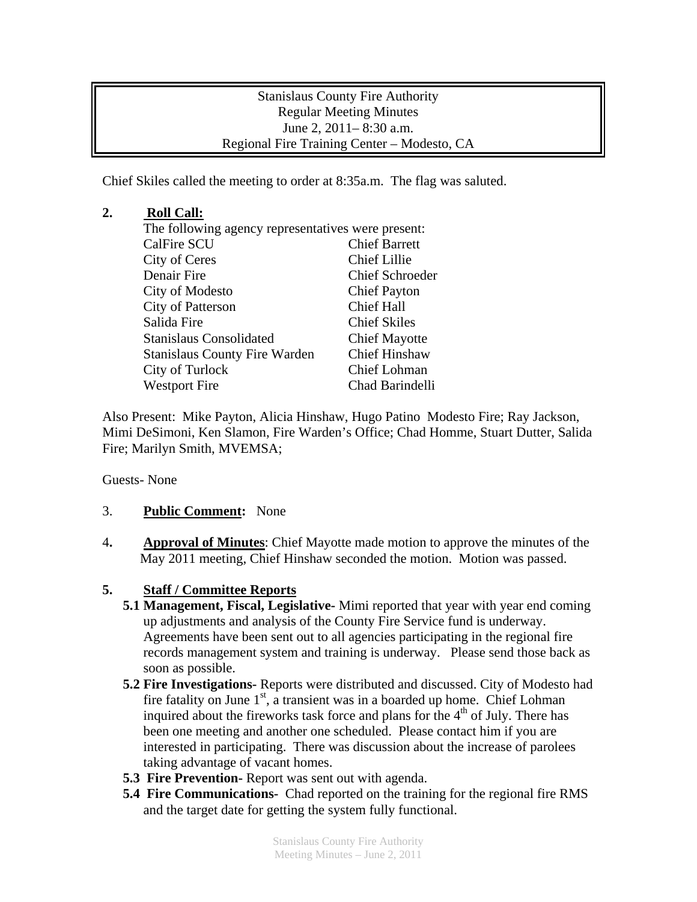Stanislaus County Fire Authority Regular Meeting Minutes June 2, 2011– 8:30 a.m. Regional Fire Training Center – Modesto, CA

Chief Skiles called the meeting to order at 8:35a.m. The flag was saluted.

## **2. Roll Call:**

| The following agency representatives were present:           |  |
|--------------------------------------------------------------|--|
| <b>Chief Barrett</b>                                         |  |
| <b>Chief Lillie</b>                                          |  |
| <b>Chief Schroeder</b>                                       |  |
| <b>Chief Payton</b>                                          |  |
| <b>Chief Hall</b>                                            |  |
| <b>Chief Skiles</b>                                          |  |
| <b>Chief Mayotte</b>                                         |  |
| <b>Chief Hinshaw</b><br><b>Stanislaus County Fire Warden</b> |  |
| <b>Chief Lohman</b>                                          |  |
| Chad Barindelli                                              |  |
|                                                              |  |

Also Present: Mike Payton, Alicia Hinshaw, Hugo Patino Modesto Fire; Ray Jackson, Mimi DeSimoni, Ken Slamon, Fire Warden's Office; Chad Homme, Stuart Dutter, Salida Fire; Marilyn Smith, MVEMSA;

Guests- None

## 3. **Public Comment:** None

4**. Approval of Minutes**: Chief Mayotte made motion to approve the minutes of the May 2011 meeting, Chief Hinshaw seconded the motion. Motion was passed.

## **5. Staff / Committee Reports**

- **5.1 Management, Fiscal, Legislative-** Mimi reported that year with year end coming up adjustments and analysis of the County Fire Service fund is underway. Agreements have been sent out to all agencies participating in the regional fire records management system and training is underway. Please send those back as soon as possible.
- **5.2 Fire Investigations-** Reports were distributed and discussed. City of Modesto had fire fatality on June  $1<sup>st</sup>$ , a transient was in a boarded up home. Chief Lohman inquired about the fireworks task force and plans for the  $4<sup>th</sup>$  of July. There has been one meeting and another one scheduled. Please contact him if you are interested in participating. There was discussion about the increase of parolees taking advantage of vacant homes.
- **5.3 Fire Prevention-** Report was sent out with agenda.
- **5.4 Fire Communications-** Chad reported on the training for the regional fire RMS and the target date for getting the system fully functional.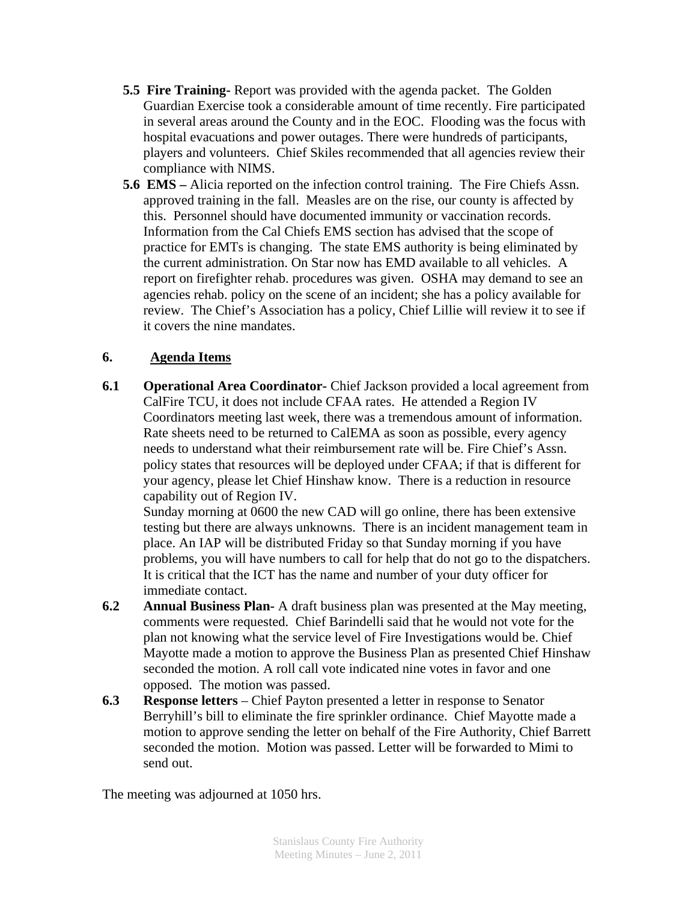- **5.5 Fire Training-** Report was provided with the agenda packet. The Golden Guardian Exercise took a considerable amount of time recently. Fire participated in several areas around the County and in the EOC. Flooding was the focus with hospital evacuations and power outages. There were hundreds of participants, players and volunteers. Chief Skiles recommended that all agencies review their compliance with NIMS.
- **5.6 EMS –** Alicia reported on the infection control training. The Fire Chiefs Assn. approved training in the fall. Measles are on the rise, our county is affected by this. Personnel should have documented immunity or vaccination records. Information from the Cal Chiefs EMS section has advised that the scope of practice for EMTs is changing. The state EMS authority is being eliminated by the current administration. On Star now has EMD available to all vehicles. A report on firefighter rehab. procedures was given. OSHA may demand to see an agencies rehab. policy on the scene of an incident; she has a policy available for review. The Chief's Association has a policy, Chief Lillie will review it to see if it covers the nine mandates.

## **6. Agenda Items**

**6.1 Operational Area Coordinator-** Chief Jackson provided a local agreement from CalFire TCU, it does not include CFAA rates. He attended a Region IV Coordinators meeting last week, there was a tremendous amount of information. Rate sheets need to be returned to CalEMA as soon as possible, every agency needs to understand what their reimbursement rate will be. Fire Chief's Assn. policy states that resources will be deployed under CFAA; if that is different for your agency, please let Chief Hinshaw know. There is a reduction in resource capability out of Region IV.

Sunday morning at 0600 the new CAD will go online, there has been extensive testing but there are always unknowns. There is an incident management team in place. An IAP will be distributed Friday so that Sunday morning if you have problems, you will have numbers to call for help that do not go to the dispatchers. It is critical that the ICT has the name and number of your duty officer for immediate contact.

- **6.2 Annual Business Plan-** A draft business plan was presented at the May meeting, comments were requested. Chief Barindelli said that he would not vote for the plan not knowing what the service level of Fire Investigations would be. Chief Mayotte made a motion to approve the Business Plan as presented Chief Hinshaw seconded the motion. A roll call vote indicated nine votes in favor and one opposed. The motion was passed.
- **6.3 Response letters** Chief Payton presented a letter in response to Senator Berryhill's bill to eliminate the fire sprinkler ordinance. Chief Mayotte made a motion to approve sending the letter on behalf of the Fire Authority, Chief Barrett seconded the motion. Motion was passed. Letter will be forwarded to Mimi to send out.

The meeting was adjourned at 1050 hrs.